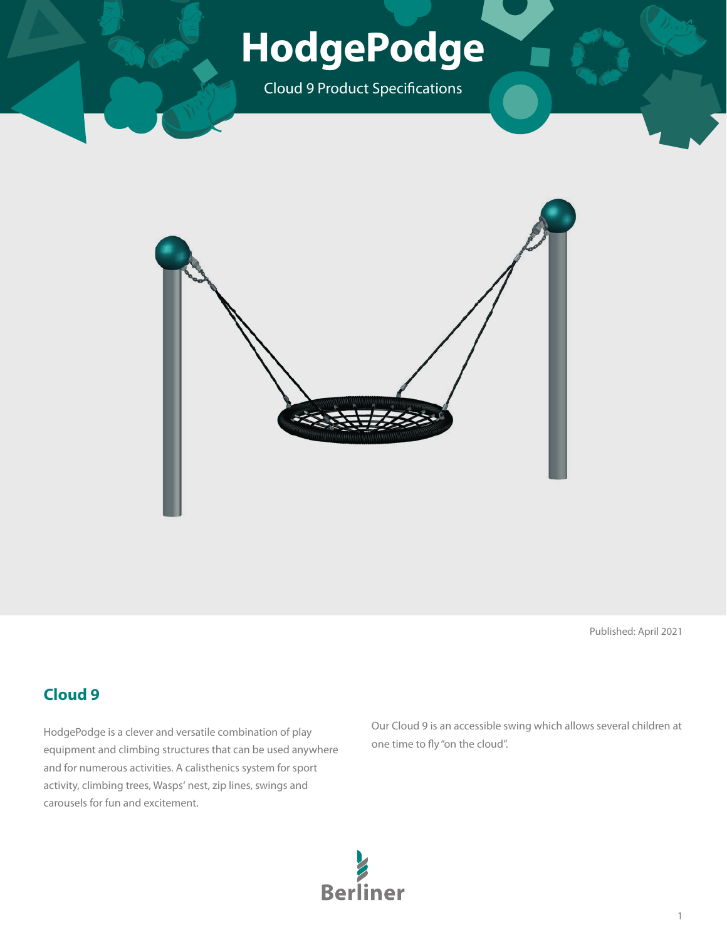# **HodgePodge**

Cloud 9 Product Specifications



Published: April 2021

### **Cloud 9**

HodgePodge is a clever and versatile combination of play equipment and climbing structures that can be used anywhere and for numerous activities. A calisthenics system for sport activity, climbing trees, Wasps' nest, zip lines, swings and carousels for fun and excitement.

Our Cloud 9 is an accessible swing which allows several children at one time to fly "on the cloud".